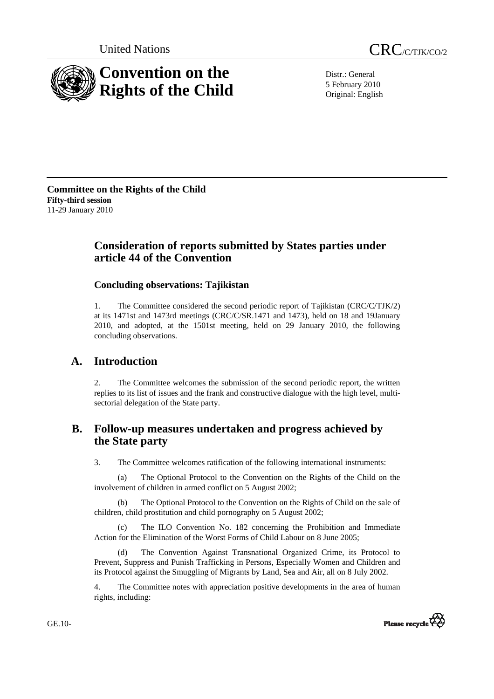



Distr.: General 5 February 2010 Original: English

**Committee on the Rights of the Child Fifty-third session**  11-29 January 2010

# **Consideration of reports submitted by States parties under article 44 of the Convention**

# **Concluding observations: Tajikistan**

1. The Committee considered the second periodic report of Tajikistan (CRC/C/TJK/2) at its 1471st and 1473rd meetings (CRC/C/SR.1471 and 1473), held on 18 and 19January 2010, and adopted, at the 1501st meeting, held on 29 January 2010, the following concluding observations.

# **A. Introduction**

2. The Committee welcomes the submission of the second periodic report, the written replies to its list of issues and the frank and constructive dialogue with the high level, multisectorial delegation of the State party.

# **B. Follow-up measures undertaken and progress achieved by the State party**

3. The Committee welcomes ratification of the following international instruments:

 (a) The Optional Protocol to the Convention on the Rights of the Child on the involvement of children in armed conflict on 5 August 2002;

The Optional Protocol to the Convention on the Rights of Child on the sale of children, child prostitution and child pornography on 5 August 2002;

 (c) The ILO Convention No. 182 concerning the Prohibition and Immediate Action for the Elimination of the Worst Forms of Child Labour on 8 June 2005;

 (d) The Convention Against Transnational Organized Crime, its Protocol to Prevent, Suppress and Punish Trafficking in Persons, Especially Women and Children and its Protocol against the Smuggling of Migrants by Land, Sea and Air, all on 8 July 2002.

4. The Committee notes with appreciation positive developments in the area of human rights, including:



GE.10-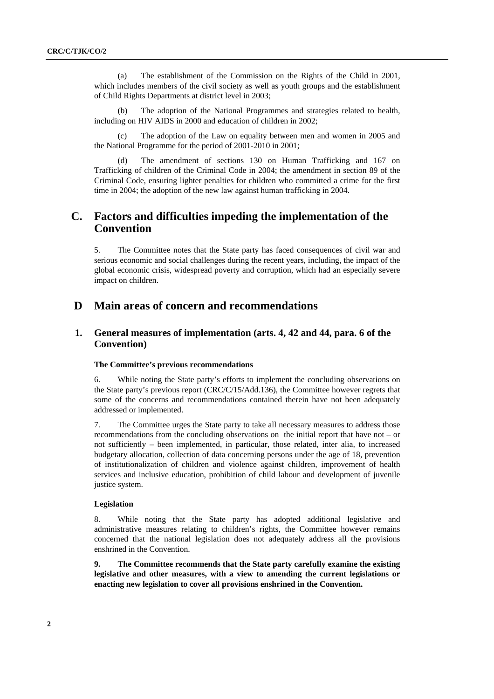(a) The establishment of the Commission on the Rights of the Child in 2001, which includes members of the civil society as well as youth groups and the establishment of Child Rights Departments at district level in 2003;

The adoption of the National Programmes and strategies related to health, including on HIV AIDS in 2000 and education of children in 2002;

 (c) The adoption of the Law on equality between men and women in 2005 and the National Programme for the period of 2001-2010 in 2001;

The amendment of sections 130 on Human Trafficking and 167 on Trafficking of children of the Criminal Code in 2004; the amendment in section 89 of the Criminal Code, ensuring lighter penalties for children who committed a crime for the first time in 2004; the adoption of the new law against human trafficking in 2004.

# **C. Factors and difficulties impeding the implementation of the Convention**

5. The Committee notes that the State party has faced consequences of civil war and serious economic and social challenges during the recent years, including, the impact of the global economic crisis, widespread poverty and corruption, which had an especially severe impact on children.

# **D Main areas of concern and recommendations**

# **1. General measures of implementation (arts. 4, 42 and 44, para. 6 of the Convention)**

# **The Committee's previous recommendations**

6. While noting the State party's efforts to implement the concluding observations on the State party's previous report (CRC/C/15/Add.136), the Committee however regrets that some of the concerns and recommendations contained therein have not been adequately addressed or implemented.

7. The Committee urges the State party to take all necessary measures to address those recommendations from the concluding observations on the initial report that have not – or not sufficiently – been implemented, in particular, those related, inter alia*,* to increased budgetary allocation, collection of data concerning persons under the age of 18, prevention of institutionalization of children and violence against children, improvement of health services and inclusive education, prohibition of child labour and development of juvenile justice system.

# **Legislation**

8. While noting that the State party has adopted additional legislative and administrative measures relating to children's rights, the Committee however remains concerned that the national legislation does not adequately address all the provisions enshrined in the Convention.

**9. The Committee recommends that the State party carefully examine the existing legislative and other measures, with a view to amending the current legislations or enacting new legislation to cover all provisions enshrined in the Convention.**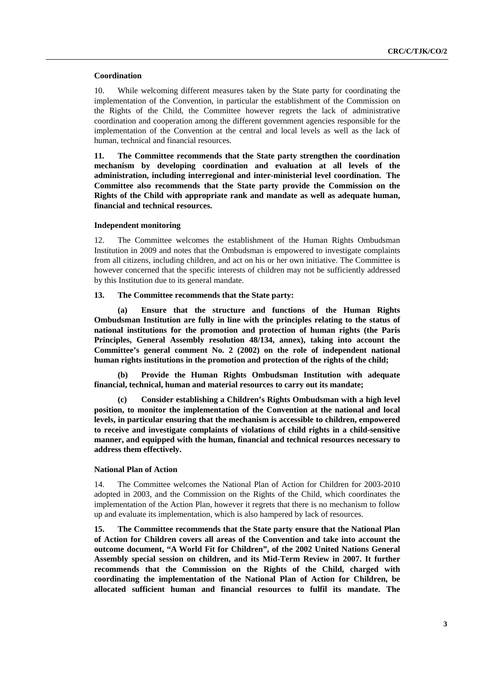#### **Coordination**

10. While welcoming different measures taken by the State party for coordinating the implementation of the Convention, in particular the establishment of the Commission on the Rights of the Child, the Committee however regrets the lack of administrative coordination and cooperation among the different government agencies responsible for the implementation of the Convention at the central and local levels as well as the lack of human, technical and financial resources.

**11***.* **The Committee recommends that the State party strengthen the coordination mechanism by developing coordination and evaluation at all levels of the administration, including interregional and inter-ministerial level coordination. The Committee also recommends that the State party provide the Commission on the Rights of the Child with appropriate rank and mandate as well as adequate human, financial and technical resources.** 

#### **Independent monitoring**

12. The Committee welcomes the establishment of the Human Rights Ombudsman Institution in 2009 and notes that the Ombudsman is empowered to investigate complaints from all citizens, including children, and act on his or her own initiative. The Committee is however concerned that the specific interests of children may not be sufficiently addressed by this Institution due to its general mandate.

# **13. The Committee recommends that the State party:**

 **(a) Ensure that the structure and functions of the Human Rights Ombudsman Institution are fully in line with the principles relating to the status of national institutions for the promotion and protection of human rights (the Paris Principles, General Assembly resolution 48/134, annex), taking into account the Committee's general comment No. 2 (2002) on the role of independent national human rights institutions in the promotion and protection of the rights of the child;** 

 **(b) Provide the Human Rights Ombudsman Institution with adequate financial, technical, human and material resources to carry out its mandate;** 

 **(c) Consider establishing a Children's Rights Ombudsman with a high level position, to monitor the implementation of the Convention at the national and local levels, in particular ensuring that the mechanism is accessible to children, empowered to receive and investigate complaints of violations of child rights in a child-sensitive manner, and equipped with the human, financial and technical resources necessary to address them effectively.** 

# **National Plan of Action**

14. The Committee welcomes the National Plan of Action for Children for 2003-2010 adopted in 2003, and the Commission on the Rights of the Child, which coordinates the implementation of the Action Plan, however it regrets that there is no mechanism to follow up and evaluate its implementation, which is also hampered by lack of resources.

**15. The Committee recommends that the State party ensure that the National Plan of Action for Children covers all areas of the Convention and take into account the outcome document, "A World Fit for Children", of the 2002 United Nations General Assembly special session on children, and its Mid-Term Review in 2007. It further recommends that the Commission on the Rights of the Child, charged with coordinating the implementation of the National Plan of Action for Children, be allocated sufficient human and financial resources to fulfil its mandate. The**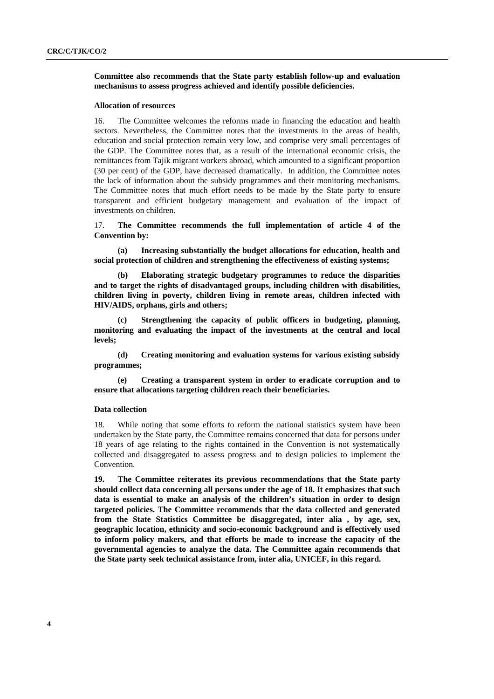**Committee also recommends that the State party establish follow-up and evaluation mechanisms to assess progress achieved and identify possible deficiencies.** 

#### **Allocation of resources**

16. The Committee welcomes the reforms made in financing the education and health sectors. Nevertheless, the Committee notes that the investments in the areas of health, education and social protection remain very low, and comprise very small percentages of the GDP. The Committee notes that, as a result of the international economic crisis, the remittances from Tajik migrant workers abroad, which amounted to a significant proportion (30 per cent) of the GDP, have decreased dramatically. In addition, the Committee notes the lack of information about the subsidy programmes and their monitoring mechanisms. The Committee notes that much effort needs to be made by the State party to ensure transparent and efficient budgetary management and evaluation of the impact of investments on children.

17. **The Committee recommends the full implementation of article 4 of the Convention by:** 

 **(a) Increasing substantially the budget allocations for education, health and social protection of children and strengthening the effectiveness of existing systems;** 

 **(b) Elaborating strategic budgetary programmes to reduce the disparities and to target the rights of disadvantaged groups, including children with disabilities, children living in poverty, children living in remote areas, children infected with HIV/AIDS, orphans, girls and others;** 

 **(c) Strengthening the capacity of public officers in budgeting, planning, monitoring and evaluating the impact of the investments at the central and local levels;** 

 **(d) Creating monitoring and evaluation systems for various existing subsidy programmes;** 

 **(e) Creating a transparent system in order to eradicate corruption and to ensure that allocations targeting children reach their beneficiaries.** 

#### **Data collection**

18. While noting that some efforts to reform the national statistics system have been undertaken by the State party, the Committee remains concerned that data for persons under 18 years of age relating to the rights contained in the Convention is not systematically collected and disaggregated to assess progress and to design policies to implement the Convention.

**19. The Committee reiterates its previous recommendations that the State party should collect data concerning all persons under the age of 18. It emphasizes that such data is essential to make an analysis of the children's situation in order to design targeted policies. The Committee recommends that the data collected and generated from the State Statistics Committee be disaggregated, inter alia , by age, sex, geographic location, ethnicity and socio-economic background and is effectively used to inform policy makers, and that efforts be made to increase the capacity of the governmental agencies to analyze the data. The Committee again recommends that the State party seek technical assistance from, inter alia, UNICEF, in this regard.**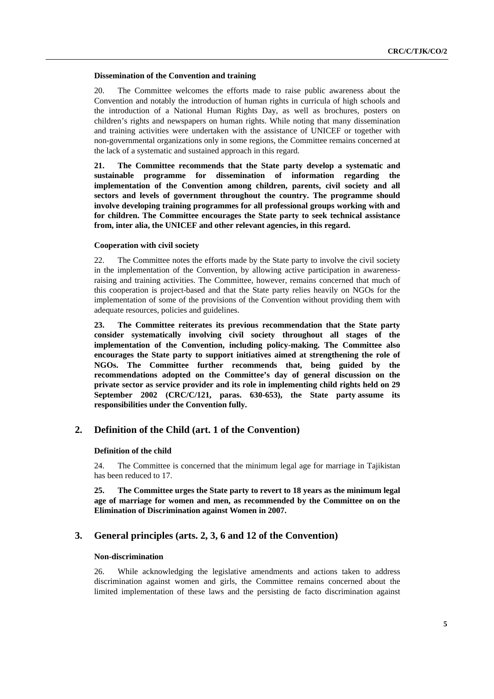#### **Dissemination of the Convention and training**

20. The Committee welcomes the efforts made to raise public awareness about the Convention and notably the introduction of human rights in curricula of high schools and the introduction of a National Human Rights Day, as well as brochures, posters on children's rights and newspapers on human rights. While noting that many dissemination and training activities were undertaken with the assistance of UNICEF or together with non-governmental organizations only in some regions, the Committee remains concerned at the lack of a systematic and sustained approach in this regard.

**21. The Committee recommends that the State party develop a systematic and sustainable programme for dissemination of information regarding the implementation of the Convention among children, parents, civil society and all sectors and levels of government throughout the country. The programme should involve developing training programmes for all professional groups working with and for children. The Committee encourages the State party to seek technical assistance from, inter alia, the UNICEF and other relevant agencies, in this regard.** 

#### **Cooperation with civil society**

22. The Committee notes the efforts made by the State party to involve the civil society in the implementation of the Convention, by allowing active participation in awarenessraising and training activities. The Committee, however, remains concerned that much of this cooperation is project-based and that the State party relies heavily on NGOs for the implementation of some of the provisions of the Convention without providing them with adequate resources, policies and guidelines.

**23. The Committee reiterates its previous recommendation that the State party consider systematically involving civil society throughout all stages of the implementation of the Convention, including policy-making. The Committee also encourages the State party to support initiatives aimed at strengthening the role of NGOs. The Committee further recommends that, being guided by the recommendations adopted on the Committee's day of general discussion on the private sector as service provider and its role in implementing child rights held on 29 September 2002 (CRC/C/121, paras. 630-653), the State party assume its responsibilities under the Convention fully.** 

# **2. Definition of the Child (art. 1 of the Convention)**

#### **Definition of the child**

24. The Committee is concerned that the minimum legal age for marriage in Tajikistan has been reduced to 17.

**25. The Committee urges the State party to revert to 18 years as the minimum legal age of marriage for women and men, as recommended by the Committee on on the Elimination of Discrimination against Women in 2007.** 

# **3. General principles (arts. 2, 3, 6 and 12 of the Convention)**

#### **Non-discrimination**

26. While acknowledging the legislative amendments and actions taken to address discrimination against women and girls, the Committee remains concerned about the limited implementation of these laws and the persisting de facto discrimination against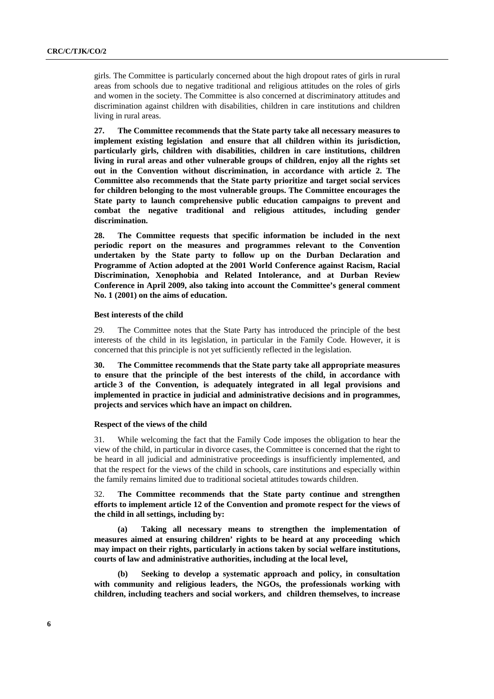girls. The Committee is particularly concerned about the high dropout rates of girls in rural areas from schools due to negative traditional and religious attitudes on the roles of girls and women in the society. The Committee is also concerned at discriminatory attitudes and discrimination against children with disabilities, children in care institutions and children living in rural areas.

**27. The Committee recommends that the State party take all necessary measures to implement existing legislation and ensure that all children within its jurisdiction, particularly girls, children with disabilities, children in care institutions, children living in rural areas and other vulnerable groups of children, enjoy all the rights set out in the Convention without discrimination, in accordance with article 2. The Committee also recommends that the State party prioritize and target social services for children belonging to the most vulnerable groups. The Committee encourages the State party to launch comprehensive public education campaigns to prevent and combat the negative traditional and religious attitudes, including gender discrimination.** 

**28. The Committee requests that specific information be included in the next periodic report on the measures and programmes relevant to the Convention undertaken by the State party to follow up on the Durban Declaration and Programme of Action adopted at the 2001 World Conference against Racism, Racial Discrimination, Xenophobia and Related Intolerance, and at Durban Review Conference in April 2009, also taking into account the Committee's general comment No. 1 (2001) on the aims of education.** 

## **Best interests of the child**

29. The Committee notes that the State Party has introduced the principle of the best interests of the child in its legislation, in particular in the Family Code. However, it is concerned that this principle is not yet sufficiently reflected in the legislation.

**30. The Committee recommends that the State party take all appropriate measures to ensure that the principle of the best interests of the child, in accordance with article 3 of the Convention, is adequately integrated in all legal provisions and implemented in practice in judicial and administrative decisions and in programmes, projects and services which have an impact on children.** 

### **Respect of the views of the child**

31. While welcoming the fact that the Family Code imposes the obligation to hear the view of the child, in particular in divorce cases, the Committee is concerned that the right to be heard in all judicial and administrative proceedings is insufficiently implemented, and that the respect for the views of the child in schools, care institutions and especially within the family remains limited due to traditional societal attitudes towards children.

32. **The Committee recommends that the State party continue and strengthen efforts to implement article 12 of the Convention and promote respect for the views of the child in all settings, including by:** 

 **(a) Taking all necessary means to strengthen the implementation of measures aimed at ensuring children' rights to be heard at any proceeding which may impact on their rights, particularly in actions taken by social welfare institutions, courts of law and administrative authorities, including at the local level,** 

 **(b) Seeking to develop a systematic approach and policy, in consultation with community and religious leaders, the NGOs, the professionals working with children, including teachers and social workers, and children themselves, to increase**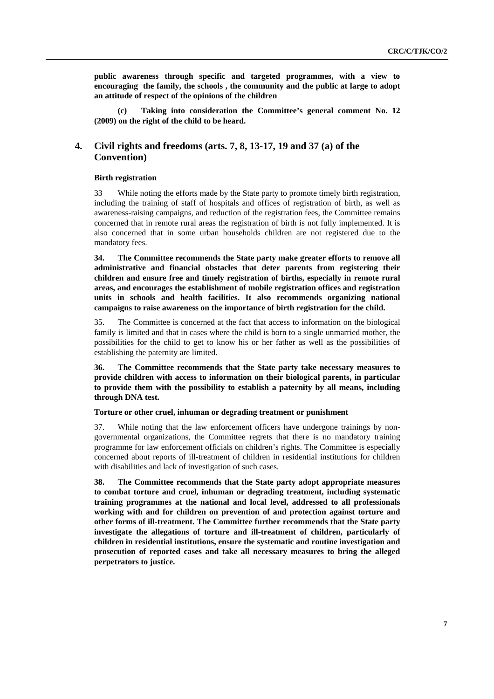**public awareness through specific and targeted programmes, with a view to encouraging the family, the schools , the community and the public at large to adopt an attitude of respect of the opinions of the children** 

Taking into consideration the Committee's general comment No. 12 **(2009) on the right of the child to be heard.** 

# **4. Civil rights and freedoms (arts. 7, 8, 13-17, 19 and 37 (a) of the Convention)**

# **Birth registration**

33 While noting the efforts made by the State party to promote timely birth registration, including the training of staff of hospitals and offices of registration of birth, as well as awareness-raising campaigns, and reduction of the registration fees, the Committee remains concerned that in remote rural areas the registration of birth is not fully implemented. It is also concerned that in some urban households children are not registered due to the mandatory fees.

**34. The Committee recommends the State party make greater efforts to remove all administrative and financial obstacles that deter parents from registering their children and ensure free and timely registration of births, especially in remote rural areas, and encourages the establishment of mobile registration offices and registration units in schools and health facilities. It also recommends organizing national campaigns to raise awareness on the importance of birth registration for the child.** 

35. The Committee is concerned at the fact that access to information on the biological family is limited and that in cases where the child is born to a single unmarried mother, the possibilities for the child to get to know his or her father as well as the possibilities of establishing the paternity are limited.

**36. The Committee recommends that the State party take necessary measures to provide children with access to information on their biological parents, in particular to provide them with the possibility to establish a paternity by all means, including through DNA test.** 

# **Torture or other cruel, inhuman or degrading treatment or punishment**

37. While noting that the law enforcement officers have undergone trainings by nongovernmental organizations, the Committee regrets that there is no mandatory training programme for law enforcement officials on children's rights. The Committee is especially concerned about reports of ill-treatment of children in residential institutions for children with disabilities and lack of investigation of such cases.

**38. The Committee recommends that the State party adopt appropriate measures to combat torture and cruel, inhuman or degrading treatment, including systematic training programmes at the national and local level, addressed to all professionals working with and for children on prevention of and protection against torture and other forms of ill-treatment. The Committee further recommends that the State party investigate the allegations of torture and ill-treatment of children, particularly of children in residential institutions, ensure the systematic and routine investigation and prosecution of reported cases and take all necessary measures to bring the alleged perpetrators to justice.**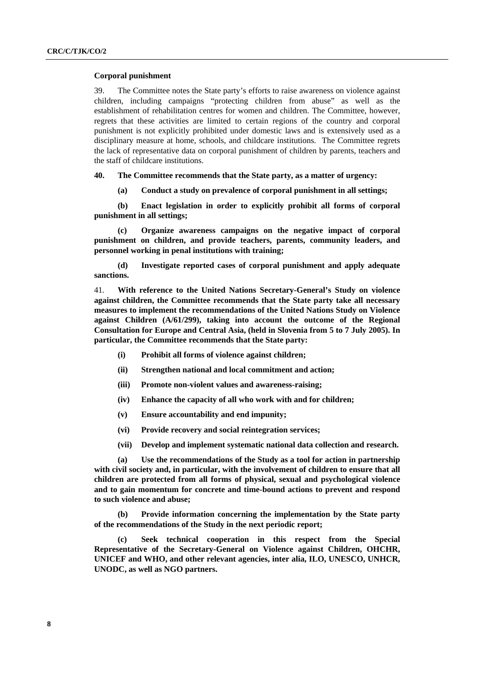#### **Corporal punishment**

39. The Committee notes the State party's efforts to raise awareness on violence against children, including campaigns "protecting children from abuse" as well as the establishment of rehabilitation centres for women and children. The Committee, however, regrets that these activities are limited to certain regions of the country and corporal punishment is not explicitly prohibited under domestic laws and is extensively used as a disciplinary measure at home, schools, and childcare institutions. The Committee regrets the lack of representative data on corporal punishment of children by parents, teachers and the staff of childcare institutions.

**40. The Committee recommends that the State party, as a matter of urgency:** 

 **(a) Conduct a study on prevalence of corporal punishment in all settings;**

 **(b) Enact legislation in order to explicitly prohibit all forms of corporal punishment in all settings;** 

 **(c) Organize awareness campaigns on the negative impact of corporal punishment on children, and provide teachers, parents, community leaders, and personnel working in penal institutions with training;** 

 **(d) Investigate reported cases of corporal punishment and apply adequate sanctions.** 

41*.* **With reference to the United Nations Secretary-General's Study on violence against children, the Committee recommends that the State party take all necessary measures to implement the recommendations of the United Nations Study on Violence against Children (A/61/299), taking into account the outcome of the Regional Consultation for Europe and Central Asia, (held in Slovenia from 5 to 7 July 2005). In particular, the Committee recommends that the State party:** 

- **(i) Prohibit all forms of violence against children;**
- **(ii) Strengthen national and local commitment and action;**
- **(iii) Promote non-violent values and awareness-raising;**
- **(iv) Enhance the capacity of all who work with and for children;**
- **(v) Ensure accountability and end impunity;**
- **(vi) Provide recovery and social reintegration services;**
- **(vii) Develop and implement systematic national data collection and research.**

 **(a) Use the recommendations of the Study as a tool for action in partnership with civil society and, in particular, with the involvement of children to ensure that all children are protected from all forms of physical, sexual and psychological violence and to gain momentum for concrete and time-bound actions to prevent and respond to such violence and abuse;** 

 **(b) Provide information concerning the implementation by the State party of the recommendations of the Study in the next periodic report;** 

 **(c) Seek technical cooperation in this respect from the Special Representative of the Secretary-General on Violence against Children, OHCHR, UNICEF and WHO, and other relevant agencies, inter alia, ILO, UNESCO, UNHCR, UNODC, as well as NGO partners.**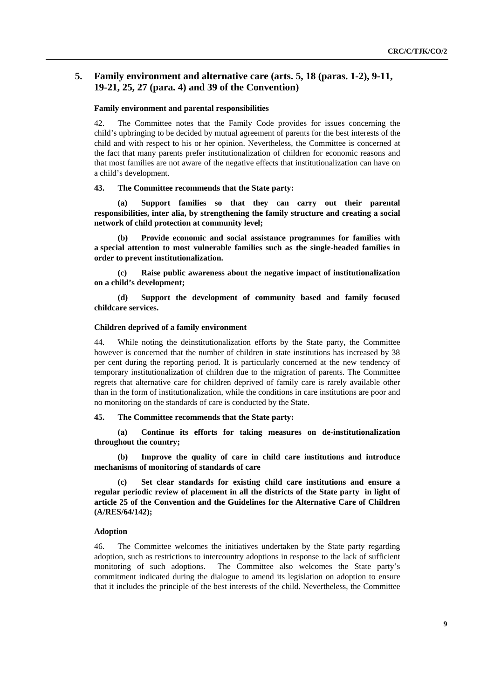# **5. Family environment and alternative care (arts. 5, 18 (paras. 1-2), 9-11, 19-21, 25, 27 (para. 4) and 39 of the Convention)**

#### **Family environment and parental responsibilities**

42. The Committee notes that the Family Code provides for issues concerning the child's upbringing to be decided by mutual agreement of parents for the best interests of the child and with respect to his or her opinion. Nevertheless, the Committee is concerned at the fact that many parents prefer institutionalization of children for economic reasons and that most families are not aware of the negative effects that institutionalization can have on a child's development.

#### **43. The Committee recommends that the State party:**

 **(a) Support families so that they can carry out their parental responsibilities, inter alia, by strengthening the family structure and creating a social network of child protection at community level;** 

 **(b) Provide economic and social assistance programmes for families with a special attention to most vulnerable families such as the single-headed families in order to prevent institutionalization.** 

 **(c) Raise public awareness about the negative impact of institutionalization on a child's development;** 

 **(d) Support the development of community based and family focused childcare services.** 

#### **Children deprived of a family environment**

44. While noting the deinstitutionalization efforts by the State party, the Committee however is concerned that the number of children in state institutions has increased by 38 per cent during the reporting period. It is particularly concerned at the new tendency of temporary institutionalization of children due to the migration of parents. The Committee regrets that alternative care for children deprived of family care is rarely available other than in the form of institutionalization, while the conditions in care institutions are poor and no monitoring on the standards of care is conducted by the State.

#### **45. The Committee recommends that the State party:**

 **(a) Continue its efforts for taking measures on de-institutionalization throughout the country;** 

 **(b) Improve the quality of care in child care institutions and introduce mechanisms of monitoring of standards of care** 

Set clear standards for existing child care institutions and ensure a **regular periodic review of placement in all the districts of the State party in light of article 25 of the Convention and the Guidelines for the Alternative Care of Children (A/RES/64/142);** 

#### **Adoption**

46. The Committee welcomes the initiatives undertaken by the State party regarding adoption, such as restrictions to intercountry adoptions in response to the lack of sufficient monitoring of such adoptions. The Committee also welcomes the State party's commitment indicated during the dialogue to amend its legislation on adoption to ensure that it includes the principle of the best interests of the child. Nevertheless, the Committee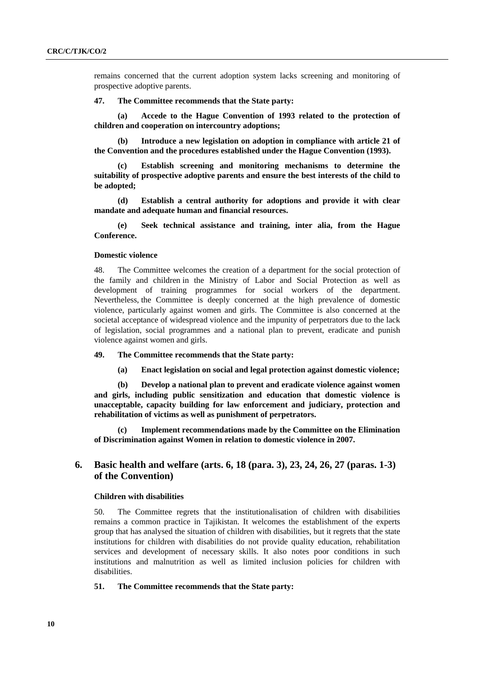remains concerned that the current adoption system lacks screening and monitoring of prospective adoptive parents.

#### **47. The Committee recommends that the State party:**

 **(a) Accede to the Hague Convention of 1993 related to the protection of children and cooperation on intercountry adoptions;** 

 **(b) Introduce a new legislation on adoption in compliance with article 21 of the Convention and the procedures established under the Hague Convention (1993).** 

**Establish screening and monitoring mechanisms to determine the suitability of prospective adoptive parents and ensure the best interests of the child to be adopted;** 

 **(d) Establish a central authority for adoptions and provide it with clear mandate and adequate human and financial resources.** 

 **(e) Seek technical assistance and training, inter alia, from the Hague Conference.** 

#### **Domestic violence**

48. The Committee welcomes the creation of a department for the social protection of the family and children in the Ministry of Labor and Social Protection as well as development of training programmes for social workers of the department. Nevertheless, the Committee is deeply concerned at the high prevalence of domestic violence, particularly against women and girls. The Committee is also concerned at the societal acceptance of widespread violence and the impunity of perpetrators due to the lack of legislation, social programmes and a national plan to prevent, eradicate and punish violence against women and girls.

**49. The Committee recommends that the State party:** 

**(a) Enact legislation on social and legal protection against domestic violence;** 

**(b) Develop a national plan to prevent and eradicate violence against women and girls, including public sensitization and education that domestic violence is unacceptable, capacity building for law enforcement and judiciary, protection and rehabilitation of victims as well as punishment of perpetrators.** 

**(c) Implement recommendations made by the Committee on the Elimination of Discrimination against Women in relation to domestic violence in 2007.** 

# **6. Basic health and welfare (arts. 6, 18 (para. 3), 23, 24, 26, 27 (paras. 1-3) of the Convention)**

## **Children with disabilities**

50. The Committee regrets that the institutionalisation of children with disabilities remains a common practice in Tajikistan. It welcomes the establishment of the experts group that has analysed the situation of children with disabilities, but it regrets that the state institutions for children with disabilities do not provide quality education, rehabilitation services and development of necessary skills. It also notes poor conditions in such institutions and malnutrition as well as limited inclusion policies for children with disabilities.

### **51. The Committee recommends that the State party:**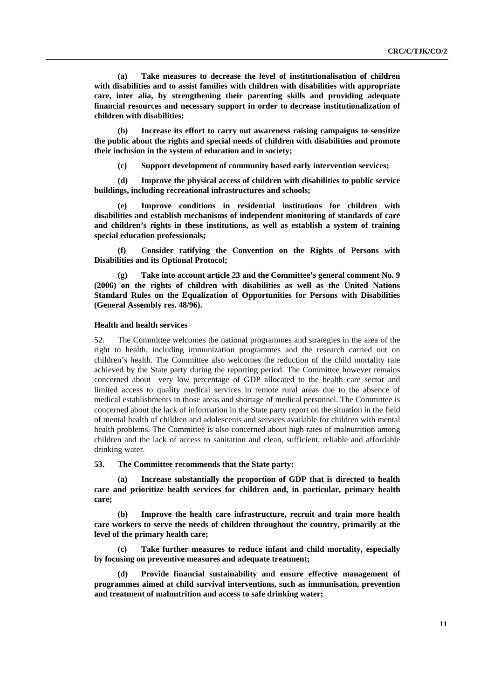**(a) Take measures to decrease the level of institutionalisation of children with disabilities and to assist families with children with disabilities with appropriate care, inter alia, by strengthening their parenting skills and providing adequate financial resources and necessary support in order to decrease institutionalization of children with disabilities;** 

 **(b) Increase its effort to carry out awareness raising campaigns to sensitize the public about the rights and special needs of children with disabilities and promote their inclusion in the system of education and in society;** 

 **(c) Support development of community based early intervention services;** 

 **(d) Improve the physical access of children with disabilities to public service buildings, including recreational infrastructures and schools;** 

 **(e) Improve conditions in residential institutions for children with disabilities and establish mechanisms of independent monitoring of standards of care and children's rights in these institutions, as well as establish a system of training special education professionals;** 

 **(f) Consider ratifying the Convention on the Rights of Persons with Disabilities and its Optional Protocol;** 

 **(g) Take into account article 23 and the Committee's general comment No. 9 (2006) on the rights of children with disabilities as well as the United Nations Standard Rules on the Equalization of Opportunities for Persons with Disabilities (General Assembly res. 48/96).** 

# **Health and health services**

52. The Committee welcomes the national programmes and strategies in the area of the right to health, including immunization programmes and the research carried out on children's health. The Committee also welcomes the reduction of the child mortality rate achieved by the State party during the reporting period. The Committee however remains concerned about very low percentage of GDP allocated to the health care sector and limited access to quality medical services in remote rural areas due to the absence of medical establishments in those areas and shortage of medical personnel. The Committee is concerned about the lack of information in the State party report on the situation in the field of mental health of children and adolescents and services available for children with mental health problems. The Committee is also concerned about high rates of malnutrition among children and the lack of access to sanitation and clean, sufficient, reliable and affordable drinking water.

**53. The Committee recommends that the State party:** 

Increase substantially the proportion of GDP that is directed to health **care and prioritize health services for children and, in particular, primary health care;** 

 **(b) Improve the health care infrastructure, recruit and train more health care workers to serve the needs of children throughout the country, primarily at the level of the primary health care;** 

 **(c) Take further measures to reduce infant and child mortality, especially by focusing on preventive measures and adequate treatment;** 

 **(d) Provide financial sustainability and ensure effective management of programmes aimed at child survival interventions, such as immunisation, prevention and treatment of malnutrition and access to safe drinking water;**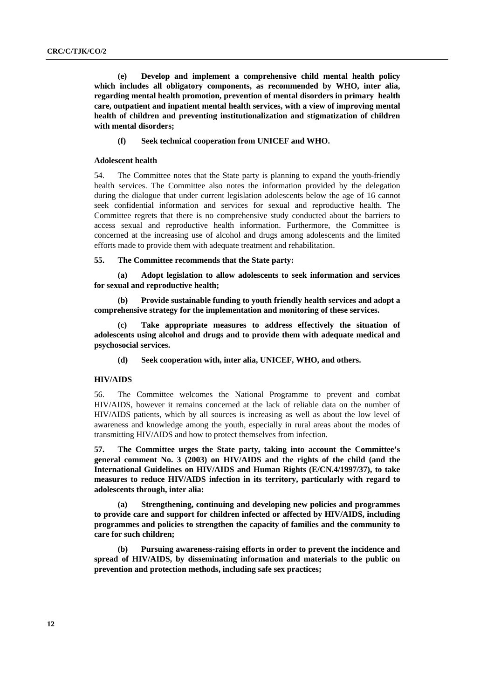**(e) Develop and implement a comprehensive child mental health policy which includes all obligatory components, as recommended by WHO, inter alia, regarding mental health promotion, prevention of mental disorders in primary health care, outpatient and inpatient mental health services, with a view of improving mental health of children and preventing institutionalization and stigmatization of children with mental disorders;**

 **(f) Seek technical cooperation from UNICEF and WHO.**

#### **Adolescent health**

54. The Committee notes that the State party is planning to expand the youth-friendly health services. The Committee also notes the information provided by the delegation during the dialogue that under current legislation adolescents below the age of 16 cannot seek confidential information and services for sexual and reproductive health. The Committee regrets that there is no comprehensive study conducted about the barriers to access sexual and reproductive health information. Furthermore, the Committee is concerned at the increasing use of alcohol and drugs among adolescents and the limited efforts made to provide them with adequate treatment and rehabilitation.

# **55. The Committee recommends that the State party:**

 **(a) Adopt legislation to allow adolescents to seek information and services for sexual and reproductive health;** 

 **(b) Provide sustainable funding to youth friendly health services and adopt a comprehensive strategy for the implementation and monitoring of these services.** 

 **(c) Take appropriate measures to address effectively the situation of adolescents using alcohol and drugs and to provide them with adequate medical and psychosocial services.** 

 **(d) Seek cooperation with, inter alia, UNICEF, WHO, and others.** 

## **HIV/AIDS**

56. The Committee welcomes the National Programme to prevent and combat HIV/AIDS, however it remains concerned at the lack of reliable data on the number of HIV/AIDS patients, which by all sources is increasing as well as about the low level of awareness and knowledge among the youth, especially in rural areas about the modes of transmitting HIV/AIDS and how to protect themselves from infection.

**57. The Committee urges the State party, taking into account the Committee's general comment No. 3 (2003) on HIV/AIDS and the rights of the child (and the International Guidelines on HIV/AIDS and Human Rights (E/CN.4/1997/37), to take measures to reduce HIV/AIDS infection in its territory, particularly with regard to adolescents through, inter alia:**

 **(a) Strengthening, continuing and developing new policies and programmes to provide care and support for children infected or affected by HIV/AIDS, including programmes and policies to strengthen the capacity of families and the community to care for such children;**

 **(b) Pursuing awareness-raising efforts in order to prevent the incidence and spread of HIV/AIDS, by disseminating information and materials to the public on prevention and protection methods, including safe sex practices;**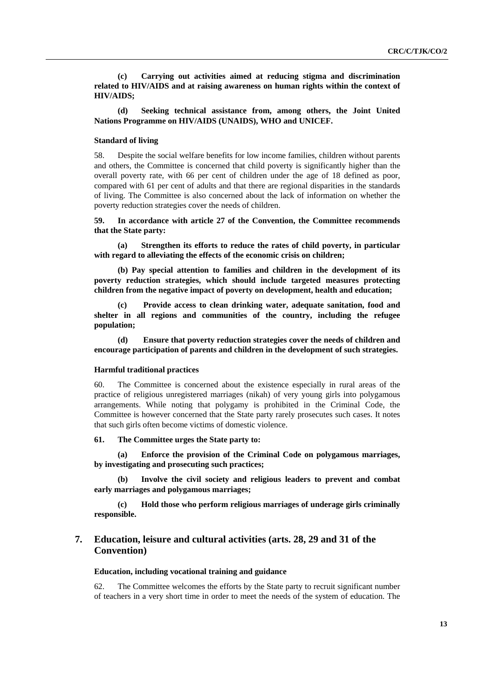**(c) Carrying out activities aimed at reducing stigma and discrimination related to HIV/AIDS and at raising awareness on human rights within the context of HIV/AIDS;**

 **(d) Seeking technical assistance from, among others, the Joint United Nations Programme on HIV/AIDS (UNAIDS), WHO and UNICEF.**

## **Standard of living**

58. Despite the social welfare benefits for low income families, children without parents and others, the Committee is concerned that child poverty is significantly higher than the overall poverty rate, with 66 per cent of children under the age of 18 defined as poor, compared with 61 per cent of adults and that there are regional disparities in the standards of living. The Committee is also concerned about the lack of information on whether the poverty reduction strategies cover the needs of children.

**59. In accordance with article 27 of the Convention, the Committee recommends that the State party:**

 **(a) Strengthen its efforts to reduce the rates of child poverty, in particular with regard to alleviating the effects of the economic crisis on children;**

 **(b) Pay special attention to families and children in the development of its poverty reduction strategies, which should include targeted measures protecting children from the negative impact of poverty on development, health and education;**

 **(c) Provide access to clean drinking water, adequate sanitation, food and shelter in all regions and communities of the country, including the refugee population;**

 **(d) Ensure that poverty reduction strategies cover the needs of children and encourage participation of parents and children in the development of such strategies.** 

## **Harmful traditional practices**

60. The Committee is concerned about the existence especially in rural areas of the practice of religious unregistered marriages (nikah) of very young girls into polygamous arrangements. While noting that polygamy is prohibited in the Criminal Code, the Committee is however concerned that the State party rarely prosecutes such cases. It notes that such girls often become victims of domestic violence.

#### **61. The Committee urges the State party to:**

 **(a) Enforce the provision of the Criminal Code on polygamous marriages, by investigating and prosecuting such practices;** 

Involve the civil society and religious leaders to prevent and combat **early marriages and polygamous marriages;** 

 **(c) Hold those who perform religious marriages of underage girls criminally responsible.** 

# **7. Education, leisure and cultural activities (arts. 28, 29 and 31 of the Convention)**

#### **Education, including vocational training and guidance**

62. The Committee welcomes the efforts by the State party to recruit significant number of teachers in a very short time in order to meet the needs of the system of education. The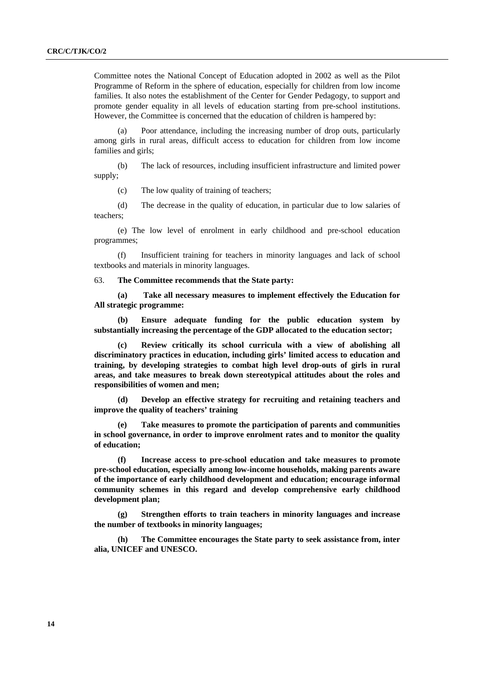Committee notes the National Concept of Education adopted in 2002 as well as the Pilot Programme of Reform in the sphere of education, especially for children from low income families. It also notes the establishment of the Center for Gender Pedagogy, to support and promote gender equality in all levels of education starting from pre-school institutions. However, the Committee is concerned that the education of children is hampered by:

 (a) Poor attendance, including the increasing number of drop outs, particularly among girls in rural areas, difficult access to education for children from low income families and girls;

 (b) The lack of resources, including insufficient infrastructure and limited power supply;

(c) The low quality of training of teachers;

 (d) The decrease in the quality of education, in particular due to low salaries of teachers;

 (e) The low level of enrolment in early childhood and pre-school education programmes;

 (f) Insufficient training for teachers in minority languages and lack of school textbooks and materials in minority languages.

63. **The Committee recommends that the State party:** 

 **(a) Take all necessary measures to implement effectively the Education for All strategic programme:** 

 **(b) Ensure adequate funding for the public education system by substantially increasing the percentage of the GDP allocated to the education sector;** 

 **(c) Review critically its school curricula with a view of abolishing all discriminatory practices in education, including girls' limited access to education and training, by developing strategies to combat high level drop-outs of girls in rural areas, and take measures to break down stereotypical attitudes about the roles and responsibilities of women and men;** 

 **(d) Develop an effective strategy for recruiting and retaining teachers and improve the quality of teachers' training** 

Take measures to promote the participation of parents and communities **in school governance, in order to improve enrolment rates and to monitor the quality of education;** 

 **(f) Increase access to pre-school education and take measures to promote pre-school education, especially among low-income households, making parents aware of the importance of early childhood development and education; encourage informal community schemes in this regard and develop comprehensive early childhood development plan;** 

 **(g) Strengthen efforts to train teachers in minority languages and increase the number of textbooks in minority languages;** 

 **(h) The Committee encourages the State party to seek assistance from, inter alia, UNICEF and UNESCO.**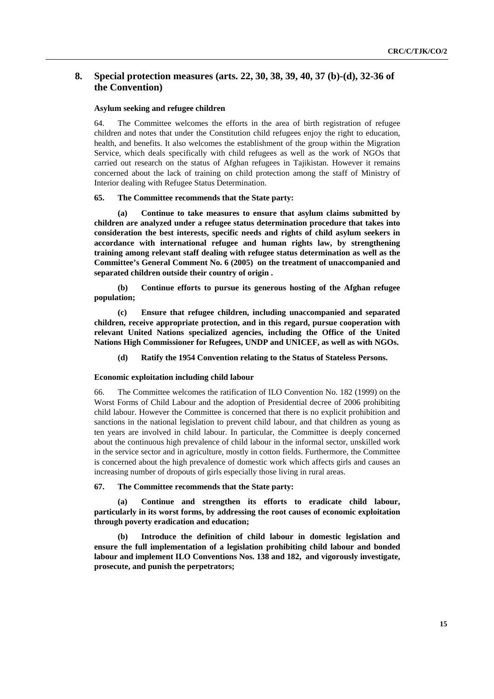# **8. Special protection measures (arts. 22, 30, 38, 39, 40, 37 (b)-(d), 32-36 of the Convention)**

## **Asylum seeking and refugee children**

64. The Committee welcomes the efforts in the area of birth registration of refugee children and notes that under the Constitution child refugees enjoy the right to education, health, and benefits. It also welcomes the establishment of the group within the Migration Service, which deals specifically with child refugees as well as the work of NGOs that carried out research on the status of Afghan refugees in Tajikistan. However it remains concerned about the lack of training on child protection among the staff of Ministry of Interior dealing with Refugee Status Determination.

### **65. The Committee recommends that the State party:**

 **(a) Continue to take measures to ensure that asylum claims submitted by children are analyzed under a refugee status determination procedure that takes into consideration the best interests, specific needs and rights of child asylum seekers in accordance with international refugee and human rights law, by strengthening training among relevant staff dealing with refugee status determination as well as the Committee's General Comment No. 6 (2005) on the treatment of unaccompanied and separated children outside their country of origin .** 

 **(b) Continue efforts to pursue its generous hosting of the Afghan refugee population;** 

 **(c) Ensure that refugee children, including unaccompanied and separated children, receive appropriate protection, and in this regard, pursue cooperation with relevant United Nations specialized agencies, including the Office of the United Nations High Commissioner for Refugees, UNDP and UNICEF, as well as with NGOs.** 

 **(d) Ratify the 1954 Convention relating to the Status of Stateless Persons.**

#### **Economic exploitation including child labour**

66. The Committee welcomes the ratification of ILO Convention No. 182 (1999) on the Worst Forms of Child Labour and the adoption of Presidential decree of 2006 prohibiting child labour. However the Committee is concerned that there is no explicit prohibition and sanctions in the national legislation to prevent child labour, and that children as young as ten years are involved in child labour. In particular, the Committee is deeply concerned about the continuous high prevalence of child labour in the informal sector, unskilled work in the service sector and in agriculture, mostly in cotton fields. Furthermore, the Committee is concerned about the high prevalence of domestic work which affects girls and causes an increasing number of dropouts of girls especially those living in rural areas.

# **67. The Committee recommends that the State party:**

 **(a) Continue and strengthen its efforts to eradicate child labour, particularly in its worst forms, by addressing the root causes of economic exploitation through poverty eradication and education;** 

 **(b) Introduce the definition of child labour in domestic legislation and ensure the full implementation of a legislation prohibiting child labour and bonded labour and implement ILO Conventions Nos. 138 and 182, and vigorously investigate, prosecute, and punish the perpetrators;**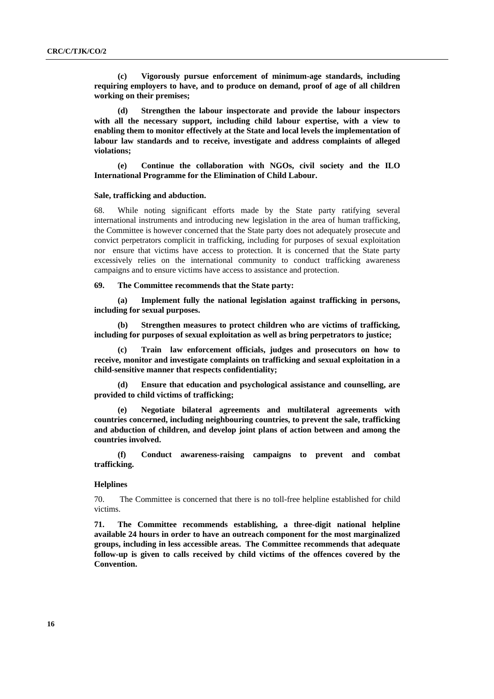**(c) Vigorously pursue enforcement of minimum-age standards, including requiring employers to have, and to produce on demand, proof of age of all children working on their premises;** 

 **(d) Strengthen the labour inspectorate and provide the labour inspectors with all the necessary support, including child labour expertise, with a view to enabling them to monitor effectively at the State and local levels the implementation of labour law standards and to receive, investigate and address complaints of alleged violations;** 

 **(e) Continue the collaboration with NGOs, civil society and the ILO International Programme for the Elimination of Child Labour.** 

# **Sale, trafficking and abduction.**

68. While noting significant efforts made by the State party ratifying several international instruments and introducing new legislation in the area of human trafficking, the Committee is however concerned that the State party does not adequately prosecute and convict perpetrators complicit in trafficking, including for purposes of sexual exploitation nor ensure that victims have access to protection. It is concerned that the State party excessively relies on the international community to conduct trafficking awareness campaigns and to ensure victims have access to assistance and protection.

# **69. The Committee recommends that the State party:**

 **(a) Implement fully the national legislation against trafficking in persons, including for sexual purposes.** 

 **(b) Strengthen measures to protect children who are victims of trafficking, including for purposes of sexual exploitation as well as bring perpetrators to justice;** 

 **(c) Train law enforcement officials, judges and prosecutors on how to receive, monitor and investigate complaints on trafficking and sexual exploitation in a child-sensitive manner that respects confidentiality;** 

 **(d) Ensure that education and psychological assistance and counselling, are provided to child victims of trafficking;** 

 **(e) Negotiate bilateral agreements and multilateral agreements with countries concerned, including neighbouring countries, to prevent the sale, trafficking and abduction of children, and develop joint plans of action between and among the countries involved.** 

 **(f) Conduct awareness-raising campaigns to prevent and combat trafficking.** 

### **Helplines**

70. The Committee is concerned that there is no toll-free helpline established for child victims.

**71. The Committee recommends establishing, a three-digit national helpline available 24 hours in order to have an outreach component for the most marginalized groups, including in less accessible areas. The Committee recommends that adequate follow-up is given to calls received by child victims of the offences covered by the Convention.**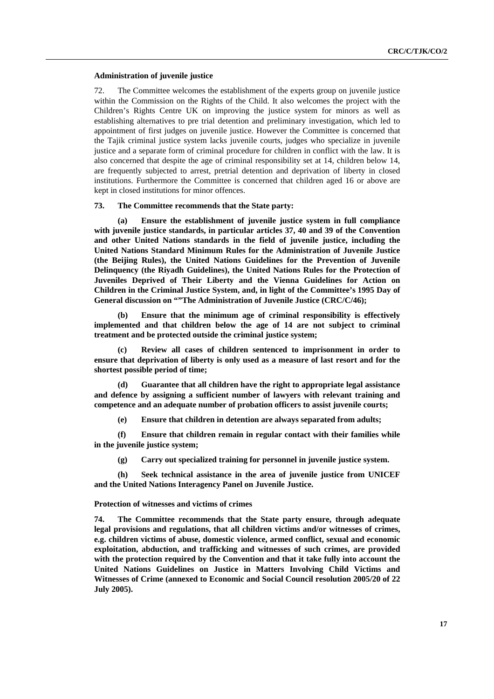#### **Administration of juvenile justice**

72. The Committee welcomes the establishment of the experts group on juvenile justice within the Commission on the Rights of the Child. It also welcomes the project with the Children's Rights Centre UK on improving the justice system for minors as well as establishing alternatives to pre trial detention and preliminary investigation, which led to appointment of first judges on juvenile justice. However the Committee is concerned that the Tajik criminal justice system lacks juvenile courts, judges who specialize in juvenile justice and a separate form of criminal procedure for children in conflict with the law. It is also concerned that despite the age of criminal responsibility set at 14, children below 14, are frequently subjected to arrest, pretrial detention and deprivation of liberty in closed institutions. Furthermore the Committee is concerned that children aged 16 or above are kept in closed institutions for minor offences.

#### **73. The Committee recommends that the State party:**

**Ensure the establishment of juvenile justice system in full compliance with juvenile justice standards, in particular articles 37, 40 and 39 of the Convention and other United Nations standards in the field of juvenile justice, including the United Nations Standard Minimum Rules for the Administration of Juvenile Justice (the Beijing Rules), the United Nations Guidelines for the Prevention of Juvenile Delinquency (the Riyadh Guidelines), the United Nations Rules for the Protection of Juveniles Deprived of Their Liberty and the Vienna Guidelines for Action on Children in the Criminal Justice System, and, in light of the Committee's 1995 Day of General discussion on ""The Administration of Juvenile Justice (CRC/C/46);**

 **(b) Ensure that the minimum age of criminal responsibility is effectively implemented and that children below the age of 14 are not subject to criminal treatment and be protected outside the criminal justice system;**

 **(c) Review all cases of children sentenced to imprisonment in order to ensure that deprivation of liberty is only used as a measure of last resort and for the shortest possible period of time;** 

 **(d) Guarantee that all children have the right to appropriate legal assistance and defence by assigning a sufficient number of lawyers with relevant training and competence and an adequate number of probation officers to assist juvenile courts;**

 **(e) Ensure that children in detention are always separated from adults;**

 **(f) Ensure that children remain in regular contact with their families while in the juvenile justice system;**

 **(g) Carry out specialized training for personnel in juvenile justice system.** 

 **(h) Seek technical assistance in the area of juvenile justice from UNICEF and the United Nations Interagency Panel on Juvenile Justice.** 

# **Protection of witnesses and victims of crimes**

**74. The Committee recommends that the State party ensure, through adequate legal provisions and regulations, that all children victims and/or witnesses of crimes, e.g. children victims of abuse, domestic violence, armed conflict, sexual and economic exploitation, abduction, and trafficking and witnesses of such crimes, are provided with the protection required by the Convention and that it take fully into account the United Nations Guidelines on Justice in Matters Involving Child Victims and Witnesses of Crime (annexed to Economic and Social Council resolution 2005/20 of 22 July 2005).**